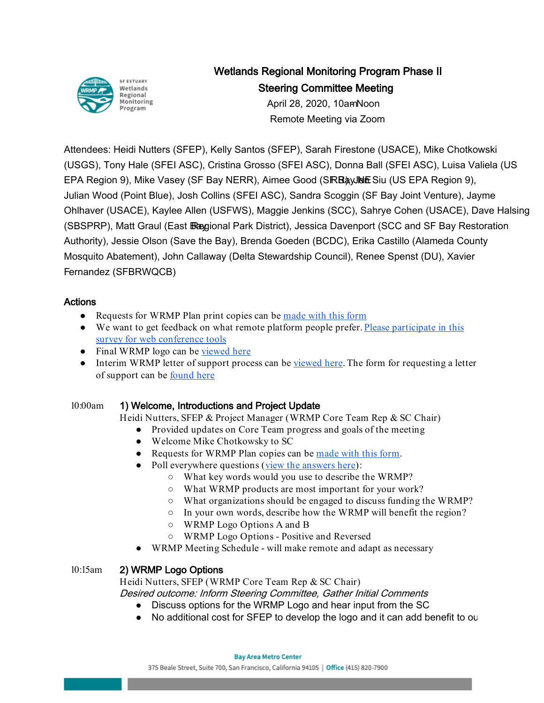

# Wetlands Regional Monitoring Program Phase II Steering Committee Meeting

April 28, 2020, 10am Noon Remote Meeting via Zoom

Attendees: Heidi Nutters (SFEP), Kelly Santos (SFEP), Sarah Firestone (USACE), Mike Chotkowski (USGS), Tony Hale (SFEI ASC), Cristina Grosso (SFEI ASC), Donna Ball (SFEI ASC), Luisa Valiela (US EPA Region 9), Mike Vasey (SF Bay NERR), Aimee Good (SRB ay UNE Siu (US EPA Region 9), Julian Wood (Point Blue), Josh Collins (SFEI ASC), Sandra Scoggin (SF Bay Joint Venture), Jayme Ohlhaver (USACE), Kaylee Allen (USFWS), Maggie Jenkins (SCC), Sahrye Cohen (USACE), Dave Halsing (SBSPRP), Matt Graul (East Bagional Park District), Jessica Davenport (SCC and SF Bay Restoration Authority), Jessie Olson (Save the Bay), Brenda Goeden (BCDC), Erika Castillo (Alameda County Mosquito Abatement), John Callaway (Delta Stewardship Council), Renee Spenst (DU), Xavier Fernandez (SFBRWQCB)

### Actions

- Requests for WRMP Plan print copies can be [made with this form](https://docs.google.com/forms/d/e/1FAIpQLSc3dfypWMk7p4k-78ISH5ZK8wdJMYRnDbrPt9FTS3UTmz_NgQ/viewform)
- We want to get feedback on what remote platform people prefer[. Please participate in this](https://gcc01.safelinks.protection.outlook.com/?url=https%3A%2F%2Fforms.gle%2FZibiioPzn8n7pfCc8&data=02%7C01%7Ckelly.santos%40sfestuary.org%7C5fdf6893c4044d9e8d7b08d7eba76293%7C0d1e7a5560f044919f2e363ea94f5c87%7C0%7C0%7C637236976553495687&sdata=X3p1jzdT8i7t4f04giueCicG96235fqbJd4I6tNN9dA%3D&reserved=0)  [survey for web conference tools](https://gcc01.safelinks.protection.outlook.com/?url=https%3A%2F%2Fforms.gle%2FZibiioPzn8n7pfCc8&data=02%7C01%7Ckelly.santos%40sfestuary.org%7C5fdf6893c4044d9e8d7b08d7eba76293%7C0d1e7a5560f044919f2e363ea94f5c87%7C0%7C0%7C637236976553495687&sdata=X3p1jzdT8i7t4f04giueCicG96235fqbJd4I6tNN9dA%3D&reserved=0)
- Final WRMP logo can be [viewed here](https://drive.google.com/file/d/14KWRIfsPxOtpNcK-7TJDtU9jbwod341k/view?usp=sharing)
- Interim WRMP letter of support process can be [viewed here.](https://www.sfestuary.org/wp-content/uploads/2020/03/WRMP_Letter_of_Support_Process_letterhead.doc) The form for requesting a letter of support can be [found here](https://docs.google.com/forms/d/e/1FAIpQLSdWkj8MV8oGsDSPz4q48fPfkJ_n2F9fSTWX77O6P53eJv1Kjw/viewform)

### 10:00am 1) Welcome, Introductions and Project Update

Heidi Nutters, SFEP & Project Manager (WRMP Core Team Rep & SC Chair)

- Provided updates on Core Team progress and goals of the meeting
- Welcome Mike Chotkowsky to SC
- Requests for WRMP Plan copies can be made with this form.
- Poll everywhere questions [\(view the answers here\)](https://docs.google.com/presentation/d/1ILrUIectuK2KeiicpTzLItMCWU97RnDmVWZo11_4894/edit?usp=sharing):
	- What key words would you use to describe the WRMP?
	- What WRMP products are most important for your work?
	- What organizations should be engaged to discuss funding the WRMP?
	- In your own words, describe how the WRMP will benefit the region?
	- WRMP Logo Options A and B
	- WRMP Logo Options Positive and Reversed
- WRMP Meeting Schedule will make remote and adapt as necessary

## 10:15am 2) WRMP Logo Options

Heidi Nutters, SFEP (WRMP Core Team Rep & SC Chair) Desired outcome: Inform Steering Committee, Gather Initial Comments

- Discuss options for the WRMP Logo and hear input from the SC
- No additional cost for SFEP to develop the logo and it can add benefit to ou

**Bay Area Metro Center**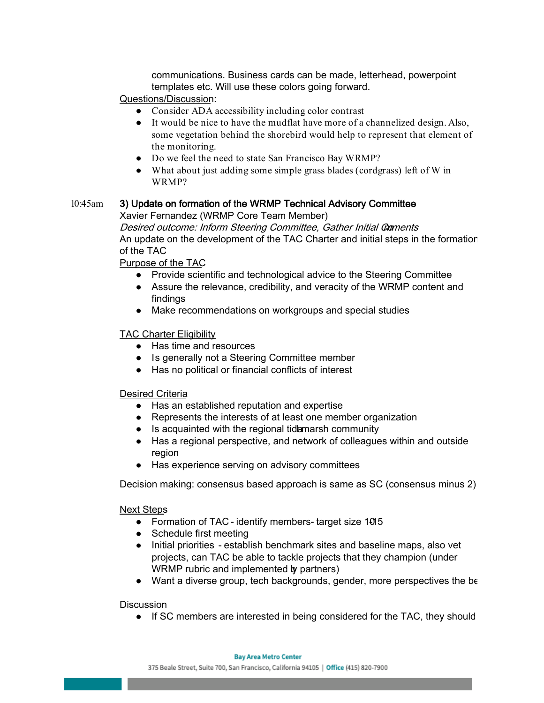communications. Business cards can be made, letterhead, powerpoint templates etc. Will use these colors going forward.

#### Questions/Discussion:

- Consider ADA accessibility including color contrast
- It would be nice to have the mudflat have more of a channelized design. Also, some vegetation behind the shorebird would help to represent that element of the monitoring.
- Do we feel the need to state San Francisco Bay WRMP?
- What about just adding some simple grass blades (cordgrass) left of W in WRMP?

#### 10:45am 3) Update on formation of the WRMP Technical Advisory Committee

Xavier Fernandez (WRMP Core Team Member)

Desired outcome: Inform Steering Committee, Gather Initial Comments An update on the development of the TAC Charter and initial steps in the formation of the TAC

#### Purpose of the TAC

- Provide scientific and technological advice to the Steering Committee
- Assure the relevance, credibility, and veracity of the WRMP content and findings
- Make recommendations on workgroups and special studies

#### TAC Charter Eligibility

- Has time and resources
- Is generally not a Steering Committee member
- Has no political or financial conflicts of interest

#### Desired Criteria

- Has an established reputation and expertise
- Represents the interests of at least one member organization
- Is acquainted with the regional tidamarsh community
- Has a regional perspective, and network of colleagues within and outside region
- Has experience serving on advisory committees

Decision making: consensus based approach is same as SC (consensus minus 2)

#### Next Steps

- Formation of TAC identify members- target size 1015
- Schedule first meeting
- Initial priorities establish benchmark sites and baseline maps, also vet projects, can TAC be able to tackle projects that they champion (under WRMP rubric and implemented by partners)
- Want a diverse group, tech backgrounds, gender, more perspectives the be

#### **Discussion**

● If SC members are interested in being considered for the TAC, they should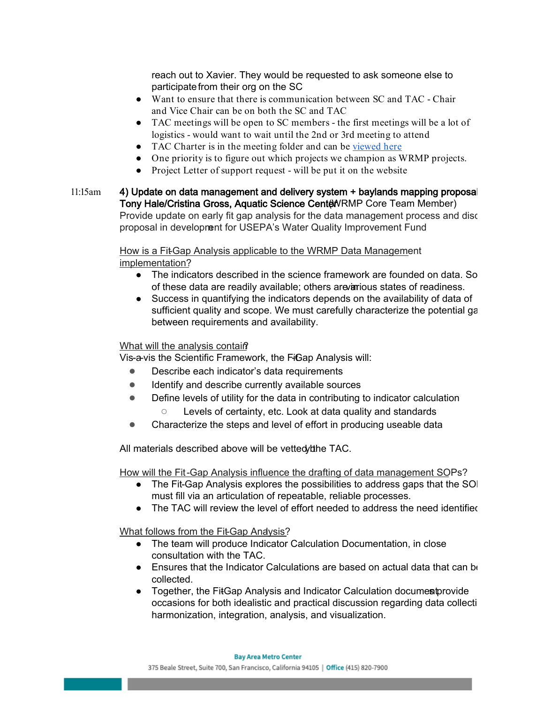reach out to Xavier. They would be requested to ask someone else to participate from their org on the SC

- Want to ensure that there is communication between SC and TAC Chair and Vice Chair can be on both the SC and TAC
- TAC meetings will be open to SC members the first meetings will be a lot of logistics - would want to wait until the 2nd or 3rd meeting to attend
- TAC Charter is in the meeting folder and can be [viewed here](https://drive.google.com/file/d/1CABbB6YFIKJiC8F66gFGaGOjz9BqgLOQ/view?usp=sharing)
- One priority is to figure out which projects we champion as WRMP projects.
- Project Letter of support request will be put it on the website
- 11:15am 4) Update on data management and delivery system + baylands mapping proposal Tony Hale/Cristina Gross, Aquatic Science Center NRMP Core Team Member) Provide update on early fit gap analysis for the data management process and disc proposal in development for USEPA's Water Quality Improvement Fund

How is a Fit-Gap Analysis applicable to the WRMP Data Management implementation?

- The indicators described in the science framework are founded on data. So of these data are readily available; others are in various states of readiness.
- Success in quantifying the indicators depends on the availability of data of sufficient quality and scope. We must carefully characterize the potential ga between requirements and availability.

#### What will the analysis contain?

Vis-a-vis the Scientific Framework, the FiGap Analysis will:

- Describe each indicator's data requirements
- Identify and describe currently available sources
- Define levels of utility for the data in contributing to indicator calculation Levels of certainty, etc. Look at data quality and standards
- Characterize the steps and level of effort in producing useable data

All materials described above will be vetted the TAC.

How will the Fit-Gap Analysis influence the drafting of data management SOPs?

- The Fit-Gap Analysis explores the possibilities to address gaps that the SOI must fill via an articulation of repeatable, reliable processes.
- The TAC will review the level of effort needed to address the need identified

What follows from the Fit-Gap Andysis?

- The team will produce Indicator Calculation Documentation, in close consultation with the TAC.
- $\bullet$  Ensures that the Indicator Calculations are based on actual data that can be collected.
- Together, the FitGap Analysis and Indicator Calculation documes provide occasions for both idealistic and practical discussion regarding data collecti harmonization, integration, analysis, and visualization.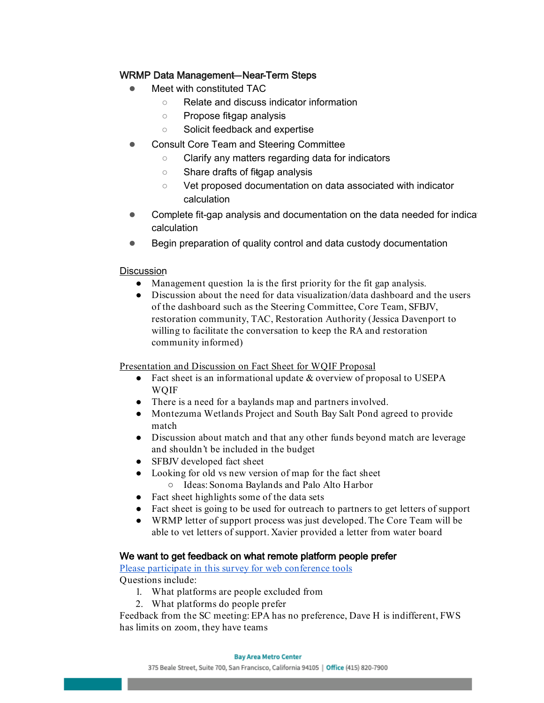### WRMP Data Management-Near-Term Steps

- **Meet with constituted TAC** 
	- Relate and discuss indicator information
	- Propose fitgap analysis
	- Solicit feedback and expertise
- Consult Core Team and Steering Committee
	- Clarify any matters regarding data for indicators
	- Share drafts of fitgap analysis
	- Vet proposed documentation on data associated with indicator calculation
- Complete fit-gap analysis and documentation on the data needed for indica calculation
- Begin preparation of quality control and data custody documentation

#### **Discussion**

- Management question 1a is the first priority for the fit gap analysis.
- Discussion about the need for data visualization/data dashboard and the users of the dashboard such as the Steering Committee, Core Team, SFBJV, restoration community, TAC, Restoration Authority (Jessica Davenport to willing to facilitate the conversation to keep the RA and restoration community informed)

Presentation and Discussion on Fact Sheet for WQIF Proposal

- $\bullet$  Fact sheet is an informational update & overview of proposal to USEPA WQIF
- There is a need for a baylands map and partners involved.
- Montezuma Wetlands Project and South Bay Salt Pond agreed to provide match
- Discussion about match and that any other funds beyond match are leverage and shouldn't be included in the budget
- SFBJV developed fact sheet
- Looking for old vs new version of map for the fact sheet
	- Ideas: Sonoma Baylands and Palo Alto Harbor
- Fact sheet highlights some of the data sets
- Fact sheet is going to be used for outreach to partners to get letters of support
- WRMP letter of support process was just developed. The Core Team will be able to vet letters of support. Xavier provided a letter from water board

#### We want to get feedback on what remote platform people prefer

[Please participate in this survey for web conference tools](https://gcc01.safelinks.protection.outlook.com/?url=https%3A%2F%2Fforms.gle%2FZibiioPzn8n7pfCc8&data=02%7C01%7Ckelly.santos%40sfestuary.org%7C5fdf6893c4044d9e8d7b08d7eba76293%7C0d1e7a5560f044919f2e363ea94f5c87%7C0%7C0%7C637236976553495687&sdata=X3p1jzdT8i7t4f04giueCicG96235fqbJd4I6tNN9dA%3D&reserved=0)  Questions include:

- 1. What platforms are people excluded from
- 2. What platforms do people prefer

Feedback from the SC meeting: EPA has no preference, Dave H is indifferent, FWS has limits on zoom, they have teams

#### **Bay Area Metro Center**